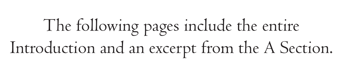# The following pages include the entire

Introduction and an excerpt from the A Section.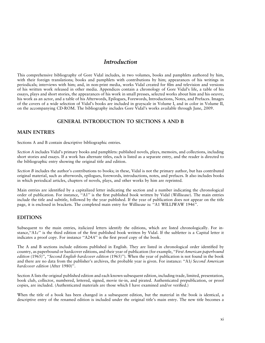# *Introduction*

This comprehensive bibliography of Gore Vidal includes, in two volumes, books and pamphlets authored by him, with their foreign translations; books and pamphlets with contributions by him; appearances of his writings in periodicals; interviews with him; and, in non-print media, works Vidal created for film and television and versions of his written work released in other media. Appendices contain a chronology of Gore Vidal's life, a table of his essays, plays and short stories, the appearances of his work in small presses, selected works about him and his oeuvre, his work as an actor, and a table of his Afterwords, Epilogues, Forewords, Introductions, Notes, and Prefaces. Images of the covers of a wide selection of Vidal's books are included in grayscale in Volume I, and in color in Volume II, on the accompanying CD-ROM. The bibliography includes Gore Vidal's works available through June, 2009.

# **GENERAL INTRODUCTION TO SECTIONS A AND B**

# **MAIN ENTRIES**

Sections A and B contain descriptive bibliographic entries.

*Section A* includes Vidal's primary books and pamphlets: published novels, plays, memoirs, and collections, including short stories and essays. If a work has alternate titles, each is listed as a separate entry, and the reader is directed to the bibliographic entry showing the original title and edition.

*Section B* includes the author's contributions to books; in these, Vidal is not the primary author, but has contributed original material, such as afterwords, epilogues, forewords, introductions, notes, and prefaces. It also includes books in which periodical articles, chapters of novels, plays, and other works by him are reprinted.

Main entries are identified by a capitalized letter indicating the section and a number indicating the chronological order of publication. For instance, ''A1'' is the first published book written by Vidal (*Williwaw*). The main entries include the title and subtitle, followed by the year published. If the year of publication does not appear on the title page, it is enclosed in brackets. The completed main entry for *Williwaw* is: ''A1 WILLIWAW 1946''.

# **EDITIONS**

Subsequent to the main entries, italicized letters identify the editions, which are listed chronologically. For instance,''A1*c*'' is the third edition of the first published book written by Vidal. If the subletter is a Capital letter it indicates a proof copy. For instance ''A24*A*'' is the first proof copy of the book.

The A and B sections include editions published in English. They are listed in chronological order identified by country, as paperbound or hardcover editions, and their year of publication (for example, ''*First American paperbound edition* (1965)'', ''*Second English hardcover edition* (1965)''). When the year of publication is not found in the book and there are no data from the publisher's archives, the probable year is given. For instance: ''A1*j Second American hardcover edition* (After 1980)''.

Section A lists the original published edition and each known subsequent edition, including trade, limited, presentation, book club, collector, numbered, lettered, signed, movie tie-in, and pirated. Authenticated prepublication, or proof copies, are included. (Authenticated materials are those which I have examined and/or verified.)

When the title of a book has been changed in a subsequent edition, but the material in the book is identical, a descriptive entry of the renamed edition is included under the original title's main entry. The new title becomes a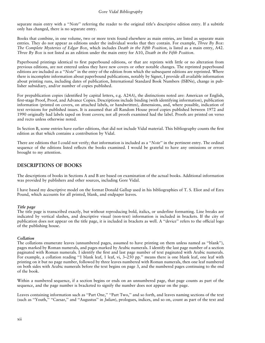separate main entry with a ''*Note*'' referring the reader to the original title's descriptive edition entry. If a subtitle only has changed, there is no separate entry.

Books that combine, in one volume, two or more texts found elsewhere as main entries, are listed as separate main entries. They do not appear as editions under the individual works that they contain. For example, *Three By Box: The Complete Mysteries of Edgar Box*, which includes *Death in the Fifth Position*, is listed as a main entry, A42. *Three By Box* is not listed as an edition under the main entry for A10, *Death in the Fifth Position*.

Paperbound printings identical to first paperbound editions, or that are reprints with little or no alteration from previous editions, are not entered unless they have new covers or other notable changes. The reprinted paperbound editions are included as a ''*Note*'' in the entry of the edition from which the subsequent editions are reprinted. Where there is incomplete information about paperbound publications, notably by Signet, I provide all available information about printing runs, including dates of publication, International Standard Book Numbers (ISBNs), change in publisher subsidiary, and/or number of copies published.

For prepublication copies (identified by capital letters, e.g. A24*A*), the distinctions noted are: American or English, first-stage Proof, Proof, and Advance Copies. Descriptions include binding (with identifying information), publication information (printed on covers, on attached labels, or handwritten), dimensions, and, where possible, indication of text revisions for published issues. It is assumed that all Random House proof copies published between 1972 and 1990 originally had labels taped on front covers; not all proofs examined had the label. Proofs are printed on verso and recto unless otherwise noted.

In Section B, some entries have earlier editions, that did not include Vidal material. This bibliography counts the first edition as that which contains a contribution by Vidal.

There are editions that I could not verify; that information is included as a ''*Note*'' in the pertinent entry. The ordinal sequence of the editions listed reflects the books examined. I would be grateful to have any omissions or errors brought to my attention.

# **DESCRIPTIONS OF BOOKS**

The descriptions of books in Sections A and B are based on examination of the actual books. Additional information was provided by publishers and other sources, including Gore Vidal.

I have based my descriptive model on the format Donald Gallup used in his bibliographies of T. S. Eliot and of Ezra Pound, which accounts for all printed, blank, and endpaper leaves.

#### *Title page*

The title page is transcribed exactly, but without reproducing bold, italics, or underline formatting. Line breaks are indicated by vertical slashes, and descriptive visual (non-text) information is included in brackets. If the city of publication does not appear on the title page, it is included in brackets as well. A ''device'' refers to the official logo of the publishing house.

#### *Collation*

The collations enumerate leaves (unnumbered pages, assumed to have printing on them unless named as ''blank''), pages marked by Roman numerals, and pages marked by Arabic numerals. I identify the last page number of a section paginated with Roman numerals. I identify the first and last page number of text paginated with Arabic numerals. For example, a collation reading "1 blank leaf, 1 leaf, vi, 3–250 pp." means there is one blank leaf, one leaf with printing on it but no page number, followed by three leaves numbered with Roman numerals, then one leaf numbered on both sides with Arabic numerals before the text begins on page 3, and the numbered pages continuing to the end of the book.

Within a numbered sequence, if a section begins or ends on an unnumbered page, that page counts as part of the sequence, and the page number is bracketed to signify the number does not appear on the page.

Leaves containing information such as ''Part One,'' ''Part Two,'' and so forth, and leaves naming sections of the text (such as ''Youth,'' ''Caesar,'' and ''Augustus'' in *Julian*), prologues, indices, and so on, count as part of the text and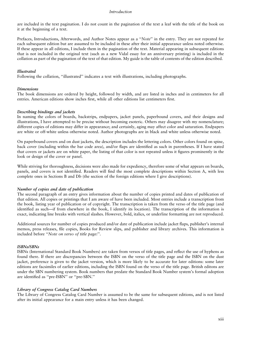#### *Introduction*

are included in the text pagination. I do not count in the pagination of the text a leaf with the title of the book on it at the beginning of a text.

Prefaces, Introductions, Afterwords, and Author Notes appear as a ''*Note*'' in the entry. They are not repeated for each subsequent edition but are assumed to be included in these after their initial appearance unless noted otherwise. If these appear in all editions, I include them in the pagination of the text. Material appearing in subsequent editions that is not included in the original text (such as a new Vidal essay for an anniversary printing) is included in the collation as part of the pagination of the text of that edition. My guide is the table of contents of the edition described.

#### *Illustrated*

Following the collation, "illustrated" indicates a text with illustrations, including photographs.

#### *Dimensions*

The book dimensions are ordered by height, followed by width, and are listed in inches and in centimeters for all entries. American editions show inches first, while all other editions list centimeters first.

#### *Describing bindings and jackets*

In naming the colors of boards, backstrips, endpapers, jacket panels, paperbound covers, and their designs and illustrations, I have attempted to be precise without becoming esoteric. Others may disagree with my nomenclature; different copies of editions may differ in appearance; and certainly, aging may affect color and saturation. Endpapers are white or off-white unless otherwise noted. Author photographs are in black and white unless otherwise noted.

On paperbound covers and on dust jackets, the description includes the lettering colors. Other colors found on spine, back cover (including within the bar code area), and/or flaps are identified as such in parentheses. If I have stated that covers or jackets are on white paper, the listing of that color is not repeated unless it figures prominently in the look or design of the cover or panel.

While striving for thoroughness, decisions were also made for expediency, therefore some of what appears on boards, panels, and covers is not identified. Readers will find the most complete descriptions within Section A, with less complete ones in Sections B and Db (the section of the foreign editions where I give descriptions).

#### *Number of copies and date of publication*

The second paragraph of an entry gives information about the number of copies printed and dates of publication of that edition. All copies or printings that I am aware of have been included. Most entries include a transcription from the book, listing year of publication or of copyright. The transcription is taken from the verso of the title page (and identified as such—if from elsewhere in the book, I identify its location). The transcription of the information is exact, indicating line breaks with vertical slashes. However, bold, italics, or underline formatting are not reproduced.

Additional sources for number of copies produced and/or date of publication include jacket flaps, publisher's internal memos, press releases, file copies, Books for Review slips, and publisher and library archives. This information is included before ''*Note on verso of title page:*''.

#### *ISBNs/SBNs*

ISBNs (International Standard Book Numbers) are taken from versos of title pages, and reflect the use of hyphens as found there. If there are discrepancies between the ISBN on the verso of the title page and the ISBN on the dust jacket, preference is given to the jacket version, which is more likely to be accurate for later editions: some later editions are facsimiles of earlier editions, including the ISBN found on the verso of the title page. British editons are under the SBN numbering system. Book numbers that predate the Standard Book Number system's formal adoption are identified as ''pre-ISBN'' or ''pre-SBN.''

#### *Library of Congress Catalog Card Numbers*

The Library of Congress Catalog Card Number is assumed to be the same for subsequent editions, and is not listed after its initial appearance for a main entry unless it has been changed.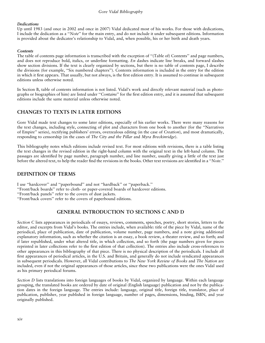# *Dedications*

Up until 1983 (and once in 2002 and once in 2007) Vidal dedicated most of his works. For those with dedications, I include the dedication as a ''*Note*'' for the main entry, and do not include it under subsequent editions. Information is provided about the dedicatee's relationship to Vidal, and, when possible, his or her birth and death years.

### *Contents*

The table of contents page information is transcribed with the exception of ''(Table of) Contents'' and page numbers, and does not reproduce bold, italics, or underline formatting. *En* dashes indicate line breaks, and forward slashes show section divisions. If the text is clearly organized by sections, but there is no table of contents page, I describe the divisions (for example, ''Six numbered chapters''). Contents information is included in the entry for the edition in which it first appears. That usually, but not always, is the first edition entry. It is assumed to continue in subsequent editions unless otherwise noted.

In Section B, table of contents information is not listed. Vidal's work and directly relevant material (such as photographs or biographies of him) are listed under ''*Contains*'' for the first edition entry, and it is assumed that subsequent editions include the same material unless otherwise noted.

# **CHANGES TO TEXTS IN LATER EDITIONS**

Gore Vidal made text changes to some later editions, especially of his earlier works. There were many reasons for the text changes, including style, connecting of plot and characters from one book to another (for the ''Narratives of Empire'' series), rectifying publishers' errors, overzealous editing (in the case of *Creation*), and most dramatically, responding to censorship (in the cases of *The City and the Pillar* and *Myra Breckinridge*).

This bibliography notes which editions include revised text. For most editions with revisions, there is a table listing the text changes in the revised edition in the right-hand column with the original text in the left-hand column. The passages are identified by page number, paragraph number, and line number, usually giving a little of the text just before the altered text, to help the reader find the revisions in the books. Other text revisions are identified in a ''*Note*.''

# **DEFINITION OF TERMS**

I use ''hardcover'' and ''paperbound'' and not ''hardback'' or ''paperback.'' ''Front/back boards'' refer to cloth- or paper-covered boards of hardcover editions. ''Front/back panels'' refer to the covers of dust jackets. ''Front/back covers'' refer to the covers of paperbound editions.

# **GENERAL INTRODUCTION TO SECTIONS C AND D**

*Section C* lists appearances in periodicals of essays, reviews, comments, speeches, poetry, short stories, letters to the editor, and excerpts from Vidal's books. The entries include, when available: title of the piece by Vidal, name of the periodical, place of publication, date of publication, volume number, page numbers, and a note giving additional explanatory information, such as whether the citation is an essay, a book review, a theater review, and so forth; and if later republished, under what altered title, in which collection, and so forth (the page numbers given for pieces reprinted in later collections refer to the first edition of that collection). The entries also include cross-references to other appearances in this bibliography of that piece. There is no physical description of the periodicals. I include all first appearances of periodical articles, in the U.S. and Britain, and generally do not include syndicated appearances in subsequent periodicals. However, all Vidal contributions to *The New York Review of Books* and *The Nation* are included, even if not the original appearances of those articles, since these two publications were the ones Vidal used as his primary periodical forums.

*Section D* lists translations into foreign languages of books by Vidal, organized by language. Within each language grouping, the translated books are ordered by date of original (English language) publication and not by the publication dates in the foreign language. The entries include: language, original title, foreign title, translator, place of publication, publisher, year published in foreign language, number of pages, dimensions, binding, ISBN, and year originally published.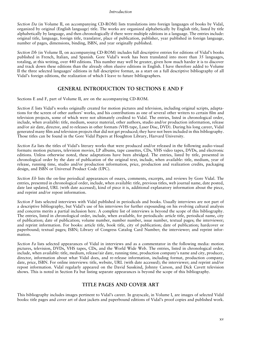#### *Introduction*

*Section Da* (in Volume II, on accompanying CD-ROM) lists translations into foreign languages of books by Vidal, organized by original (English language) title. The works are organized alphabetically by English title, listed by title alphabetically by language, and then chronologically if there were multiple editions in a language. The entries include: original title, language, foreign title, translator, place of publication, publisher, year published in foreign language, number of pages, dimensions, binding, ISBN, and year originally published.

*Section Db* (in Volume II, on accompanying CD-ROM) includes full descriptive entries for editions of Vidal's books published in French, Italian, and Spanish. Gore Vidal's work has been translated into more than 35 languages, totaling, at this writing, over 440 editions. This number may well be greater, given how much harder it is to discover and track down these editions than the already often elusive editions in English. I have therefore added to Volume II the three selected languages' editions in full descriptive format, as a start on a full descriptive bibliography of all Vidal's foreign editions, the realization of which I leave to future bibliographers.

# **GENERAL INTRODUCTION TO SECTIONS E AND F**

Sections E and F, part of Volume II, are on the accompanying CD-ROM.

*Section E* lists Vidal's works originally created for motion pictures and television, including original scripts, adaptations for the screen of other authors' works, and his contributions as one of several other writers to certain film and television projects, some of which were not ultimately credited to Vidal. The entries, listed in chronological order, include, when available: title, medium, source material, other authors, studio and/or production information, release and/or air date, director, and re-releases in other formats (VHS tape, Laser Disc, DVD). During his long career, Vidal generated many film and television projects that did not get produced; they have not been included in this bibliography. Those titles can be found in the Gore Vidal Papers at Houghton Library, Harvard University.

*Section Ea* lists the titles of Vidal's literary works that were produced and/or released in the following audio-visual formats: motion pictures, television movies, LP albums, tape cassettes, CDs, VHS video tapes, DVDs, and electronic editions. Unless otherwise noted, these adaptations have been abridged. The entries, listed by title, presented in chronological order by the date of publication of the original text, include, when available: title, medium, year of release, running time, studio and/or production information, price, production and realization credits, packaging design, and ISBN or Universal Product Code (UPC).

*Section Eb* lists the on-line periodical appearances of essays, comments, excerpts, and reviews by Gore Vidal. The entries, presented in chronological order, include, when available: title, previous titles, web journal name, date posted, date last updated, URL (with date accessed), kind of piece it is, additional explanatory information about the piece, and reprint and/or repost information.

*Section F* lists selected interviews with Vidal published in periodicals and books. Usually interviews are not part of a descriptive bibliography, but Vidal's use of his interviews for further expounding on his evolving cultural analysis and concerns merits a partial inclusion here. A complete list of interviews is beyond the scope of this bibliography. The entries, listed in chronological order, include, when available, for periodicals: article title, periodical name, city of publication; date of publication; volume number, number number, issue number, textual pages; the interviewer; and reprint information. For books: article title, book title, city of publication; date of publication; hardcover or paperbound; textual pages; ISBN; Library of Congress Catalog Card Number; the interviewer; and reprint information.

*Section Fa* lists selected appearances of Vidal in interviews and as a commentator in the following media: motion pictures, television, DVDs, VHS tapes, CDs, and the World Wide Web. The entries, listed in chronological order, include, when available: title, medium, release/air date, running time, production company's name and city, producer, director, information about what Vidal does, and re-release information, including format, production company, date, price, ISBN. For online interviews: title, website, URL (with date accessed); the interviewer; and reprint and/or repost information. Vidal regularly appeared on the David Susskind, Johnny Carson, and Dick Cavett television shows. This is noted in Section Fa but listing separate appearances is beyond the scope of this bibliography.

#### **TITLE PAGES AND COVER ART**

This bibliography includes images pertinent to Vidal's career. In grayscale, in Volume I, are images of selected Vidal books: title pages and cover art of dust jackets and paperbound editions of Vidal's proof copies and published work.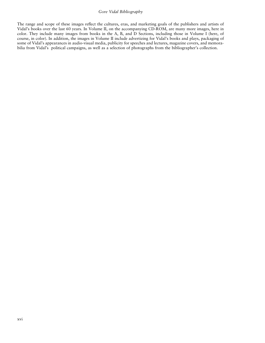#### *Gore Vidal Bibliography*

The range and scope of these images reflect the cultures, eras, and marketing goals of the publishers and artists of Vidal's books over the last 60 years. In Volume II, on the accompanying CD-ROM, are many more images, here in color. They include many images from books in the A, B, and D Sections, including those in Volume I (here, of course, in color). In addition, the images in Volume II include advertizing for Vidal's books and plays, packaging of some of Vidal's appearances in audio-visual media, publicity for speeches and lectures, magazine covers, and memorabilia from Vidal's political campaigns, as well as a selection of photographs from the bibliographer's collection.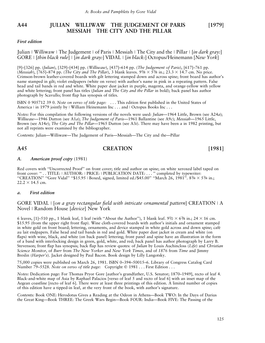# **A44 JULIAN WILLIWAW THE JUDGEMENT OF PARIS [1979] MESSIAH THE CITY AND THE PILLAR**

# *First edition*

Julian | Williwaw | The Judgement | of Paris | Messiah | The City and the | Pillar | [*in dark gray*:] GORE [*thin black rule*] [*in dark gray:*] VIDAL [*in black:*] Octopus/Heinemann [*New York*]

[9]–[326] pp. (*Julian*), [329]–[434] pp. (*Williwaw*), [437]–614 pp. (*The Judgement of Paris*), [617]–761 pp. (*Messiah*), [765]–874 pp. (*The City and The Pillar*), 3 blank leaves.  $9^{1/8} \times 5^{5/8}$  in.; 23.3  $\times$  14.7 cm. No price. Crimson-brown leather-covered boards with gilt lettering stamped down and across spine; front board has author's name stamped in gilt; violet endpapers (white on verso) with author's name in pink in a repeating pattern. False head and tail bands in red and white. White paper dust jacket in purple, magenta, and orange-yellow with yellow and white lettering; front panel has titles (*Julian* and *The City and the Pillar* in bold); back panel has author photograph by Scavullo; front flap has synopsis of titles.

ISBN 0 905712 39 0. *Note on verso of title page:* . . . This edition first published in the United States of America  $\vert$  in 1979 jointly by  $\vert$  William Heinemann Inc . . . and  $\vert$  Octopus Books Inc . . .

*Notes:* For this compilation the following versions of the novels were used: *Julian*—1964 Little, Brown (see A24*a*); *Williwaw*—1946 Dutton (see A1*a*); *The Judgement of Paris*—1961 Ballantine (see A9*c*); *Messiah*—1965 Little, Brown (see A14*e*); *The City and The Pillar*—1965 Dutton (see A3*i*). There may have been a in 1982 printing, but not all reprints were examined by the bibliographer.

*Contents:* Julian—Williwaw—The Judgement of Paris—Messiah—The City and the—Pillar

# A45 **CREATION** [1981]

#### *A. American proof copy* (1981)

Red covers with ''Uncorrected Proof'' on front cover; title and author on spine; on white xeroxed label taped on front cover: '' . . TITLE: AUTHOR: PRICE: PUBLICATION DATE: . . . '' completed by typewriter: "CREATION" "Gore Vidal" "\$15.95 | Boxed, signed, limited ed./\$45.00" "March 26, 1981".  $8\frac{3}{4} \times 5\frac{3}{4}$  in.;  $22.2 \times 14.5$  cm.

#### *a. First edition*

# GORE VIDAL | *[on a gray rectangular field with intricate ornamental pattern*] CREATION | A Novel Random House [*device*] New York

6 leaves,  $[1]-510$  pp., 1 blank leaf, 1 leaf (with "About the Author"), 1 blank leaf.  $9\frac{1}{2} \times 6\frac{3}{8}$  in.;  $24 \times 16$  cm. \$15.95 (from the upper right front flap). Wine cloth-covered boards with author's initials and ornament stamped in white gold on front board; lettering, ornaments, and device stamped in white gold across and down spine; café au lait endpapers. False head and tail bands in red and gold. White paper dust jacket in cream and white (on flaps) with wine, black, and white (on back panel) lettering; front panel and spine have an illustration in the form of a band with interlocking design in green, gold, white, and red; back panel has author photograph by Larry B. Stevenson; front flap has synopsis; back flap has review quotes: of *Julian* by Louis Auchincloss (*Life*) and *Christian Science Monitor*, of *Burr* from *The New Yorker* and *New York Times*, and of *1876* from *Time* and Jimmy Breslin (*Harper's*). Jacket designed by Paul Bacon. Book design by Lilly Langotsky.

75,000 copies were published on March 26, 1981. ISBN 0–394–50015–6. Library of Congress Catalog Card Number 79–5528. Note on verso of title page: Copyright © 1981 . . . First Edition . . .

*Notes:* Dedication page: For Thomas Pryor Gore [author's grandfather, U.S. Senator; 1870–1949], recto of leaf 4. Black-and-white map of Asia by Raphael Palacios [verso of leaf 5 and recto of leaf 6] with an inset map of the Aegean coastline [recto of leaf 6]. There were at least three printings of this edition. A limited number of copies of this edition have a tipped-in leaf, at the very front of the book, with author's signature.

*Contents:* Book ONE: Herodotus Gives a Reading at the Odeon in Athens—Book TWO: In the Days of Darius the Great King—Book THREE: The Greek Wars Begin—Book FOUR: India—Book FIVE: The Passing of the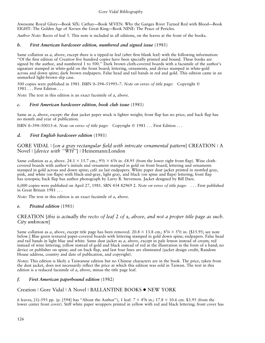### *Gore Vidal Bibliography*

Awesome Royal Glory—Book SIX: Cathay—Book SEVEN: Why the Ganges River Turned Red with Blood—Book EIGHT: The Golden Age of Xerxes the Great King—Book NINE: The Peace of Pericles.

*Author Note:* Recto of leaf 5. This note is included in all editions, on the leaves at the front of the books.

# *b. First American hardcover edition, numbered and signed issue* (1981)

Same collation as *a*, above, except there is a tipped-in leaf (after first blank leaf) with the following information: ''Of the first edition of *Creation* five hundred copies have been specially printed and bound. These books are signed by the author, and numbered 1 to 500.'' Dark brown cloth-covered boards with a facsimile of the author's signature stamped in white-gold on the front board; lettering, ornaments, and device stamped in white-gold across and down spine; dark brown endpapers. False head and tail bands in red and gold. This edition came in an unmarked light-brown slip case.

500 copies were published in 1981. ISBN 0–394–51995–7. *Note on verso of title page:* Copyright - 1981 . . . First Edition . . .

*Note:* The text in this edition is an exact facsimile of *a*, above.

# *c. First American hardcover edition, book club issue* (1981)

Same as *a*, above, except: the dust jacket paper stock is lighter weight; front flap has no price; and back flap has no month and year of publication.

ISBN 0-394-50015-6. *Note on verso of title page:* Copyright  $\odot$  1981 . . . First Edition . . .

# *d. First English hardcover edition* (1981)

# GORE VIDAL | *[on a gray rectangular field with intricate ornamental pattern*] CREATION | A Novel [*device with ''WH''*] Heinemann:London

Same collation as *a*, above. 24.1  $\times$  15.7 cm.;  $9\frac{1}{2} \times 6\frac{1}{4}$  in. £8.95 (from the lower right front flap). Wine clothcovered boards with author's initials and ornament stamped in gold on front board; lettering and ornaments stamped in gold across and down spine; café au lait endpapers. White paper dust jacket printed in mottled gray, pink, and white (on flaps) with black-and-gray, light gray, and black (on spine and flaps) lettering; front flap has synopsis; back flap has author photograph by Larry B. Stevenson. Jacket designed by Bill Dare.

6,000 copies were published on April 27, 1981. SBN 434 82969 2. *Note on verso of title page:* . . . First published in Great Britain 1981 . . .

*Note:* The text in this edition is an exact facsimile of *a*, above.

#### *e. Pirated edition* (1981)

# CREATION [*this is actually the recto of leaf 2 of* a*, above, and not a proper title page as such. City unknown*]

Same collation as a, above, except title page has been removed.  $20.8 \times 13.8$  cm.;  $8^{1/4} \times 5^{1/2}$  in. [\$15.95; see note below.] Blue green textured paper-covered boards with lettering stamped in gold down spine; endpapers. False head and tail bands in light blue and white. Same dust jacket as *a*, above, except in pale lemon instead of cream; red instead of wine lettering; yellow instead of gold and black instead of red in the illustration in the form of a band; no device or publisher on spine; and on back flap, and last four lines are eliminated (jacket design credit, Random House address, country and date of publication, and copyright).

*Notes:* This edition is likely a Taiwanese edition but no Chinese characters are in the book. The price, taken from the dust jacket, does not necessarily reflect the price at which this edition was sold in Taiwan. The text in this edition is a reduced facsimile of *a*, above, minus the title page leaf.

# *f. First American paperbound edition* (1982)

# Creation | Gore Vidal | A Novel | BALLANTINE BOOKS ● NEW YORK

6 leaves,  $[1]$ –593 pp. (p. [594] has "About the Author"), 1 leaf.  $7 \times 4^{1}/8$  in.;  $17.8 \times 10.6$  cm. \$3.95 (from the lower center front cover). Stiff white paper wrappers printed in yellow with red and black lettering; front cover has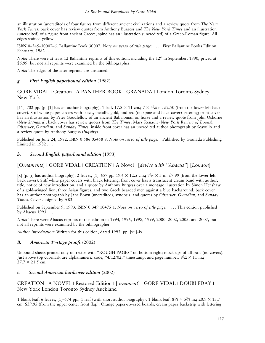an illustration (uncredited) of four figures from different ancient civilizations and a review quote from *The New York Times*; back cover has review quotes from Anthony Burgess and *The New York Times* and an illustration (uncredited) of a figure from ancient Greece; spine has an illustration (uncredited) of a Greco-Roman figure. All edges stained yellow.

ISBN 0–345–30007–6. Ballantine Book 30007. *Note on verso of title page:* . . . First Ballantine Books Edition: February, 1982...

*Note:* There were at least 12 Ballantine reprints of this edition, including the 12<sup>th</sup> in September, 1990, priced at \$6.99, but not all reprints were examined by the bibliographer.

*Note:* The edges of the later reprints are unstained.

# *g. First English paperbound edition* (1982)

# GORE VIDAL | Creation | A PANTHER BOOK | GRANADA | London Toronto Sydney New York

[11]–702 pp. (p. [1] has an author biography), 1 leaf.  $17.8 \times 11$  cm.;  $7 \times 4\frac{3}{8}$  in. £2.50 (from the lower left back cover). Stiff white paper covers with black, metallic gold, and red (on spine and back cover) lettering; front cover has an illustration by Peter Goodfellow of an ancient Babylonian on horse and a review quote from John Osborne (*New Standard*); back cover has review quotes from *The Times*, Mary Renault (*New York Review of Books*), *Observer*, *Guardian*, and *Sunday Times*; inside front cover has an uncredited author photograph by Scavullo and a review quote by Anthony Burgess (*Inquiry*).

Published on June 24, 1982. ISBN 0 586 05458 8. *Note on verso of title page:* Published by Granada Publishing Limited in 1982 . . .

# *h. Second English paperbound edition* (1993)

# [*Ornaments*] GORE VIDAL CREATION A Novel [*device with ''Abacus''*] [*London*]

[x] (p. [i] has author biography), 2 leaves, [1]–657 pp. 19.6  $\times$  12.5 cm.;  $7\frac{3}{4} \times 5$  in. £7.99 (from the lower left back cover). Stiff white paper covers with black lettering; front cover has a translucent cream band with author, title, notice of new introduction, and a quote by Anthony Burgess over a montage illustration by Simon Henshaw of a gold-winged lion, three Asian figures, and two Greek bearded men against a blue background; back cover has an author photograph by Jane Bown (uncredited), synopsis, and quotes by *Observer*, *Guardian*, and *Sunday Times*. Cover designed by AB3.

Published on September 9, 1993. ISBN 0 349 10475 1. *Note on verso of title page:* . . . This edition published by Abacus 1993 . . .

*Note:* There were Abacus reprints of this edition in 1994, 1996, 1998, 1999, 2000, 2002, 2005, and 2007, but not all reprints were examined by the bibliographer.

*Author Introduction:* Written for this edition, dated 1993, pp. [vii]–ix.

# *B. American 1*st*-stage proofs* (2002)

Unbound sheets printed only on rectos with ''ROUGH PAGES'' on bottom right; mock-ups of all leafs (no covers). Just above top cut-mark are alphanumeric code, "4/12/02," timestamp, and page number.  $8^{1/2} \times 11$  in.;  $27.7 \times 21.5$  cm.

# *i. Second American hardcover edition* (2002)

# CREATION | A NOVEL | Restored Edition | [ornament] | GORE VIDAL | DOUBLEDAY | New York London Toronto Sydney Auckland

1 blank leaf, 6 leaves, [1]–574 pp., 1 leaf (with short author biography), 1 blank leaf.  $8^{1/4} \times 5^{3/8}$  in.;  $20.9 \times 13.7$ cm. \$39.95 (from the upper center front flap). Orange paper-covered boards; cream paper backstrip with lettering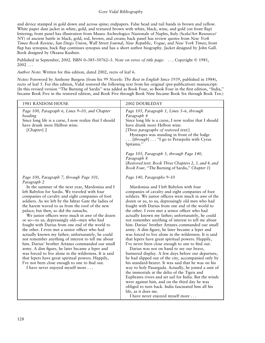#### *Gore Vidal Bibliography*

and device stamped in gold down and across spine; endpapers. False head and tail bands in brown and yellow. White paper dust jacket in white, gold, and textured brown with white, black, wine, and gold (on front flap) lettering; front panel has illustration from Museo Archeologico Nazionale of Naples, Italy (Scala/Art Resource/ NY) of ancient battle in black, gold, red, brown, and cream; back panel has review quotes from *New York Times Book Review*, *San Diego Union*, *Wall Street Journal*, *New Republic*, *Vogue*, and *New York Times*; front flap has synopsis; back flap continues synopsis and has a short author biography. Jacket designed by John Gall. Book designed by Oksana Kushnir.

Published in September, 2002. ISBN 0-385-50762-3. *Note on verso of title page:* . . . Copyright © 1981,  $2002 \ldots$ 

*Author Note*: Written for this edition, dated 2002, recto of leaf 6.

*Notes:* Foreword by Anthony Burgess (from his *99 Novels: The Best in English Since 1939*, published in 1984), recto of leaf 5. For this edition, Vidal restored the following text from his original (pre-publication) manuscript: (In this revised version ''The Burning of Sardis'' was added as Book Four, so Book Four in the first edition, ''India,'' became Book Five in the restored edition, and Book Five through Book Nine became Book Six through Book Ten.)

| 1981 RANDOM HOUSE                                                                                                                                                                                                                                                | 2002 DOUBLEDAY                                                                                                                                                                                                                                                                                                                                                                                                                                                                              |
|------------------------------------------------------------------------------------------------------------------------------------------------------------------------------------------------------------------------------------------------------------------|---------------------------------------------------------------------------------------------------------------------------------------------------------------------------------------------------------------------------------------------------------------------------------------------------------------------------------------------------------------------------------------------------------------------------------------------------------------------------------------------|
| Page 100, Paragraph 6, Lines 9-10, and Chapter<br>heading<br>Since long life is a curse, I now realize that I should<br>have drunk more Helbon wine.<br>$[Chapter]$ 2                                                                                            | Page 105, Paragraph 1, Lines 5–6, through<br>Paragraph 4<br>Since long life is a curse, I now realize that I should<br>have drunk more Helbon wine.<br>[Three paragraphs of restored text:]<br>Hystaspes was standing in front of the lodge<br>$\ldots$ [through] $\ldots$ "I go to Persepolis with Cyrus<br>Spitama."<br>Page 105, Paragraph 5, through Page 140,<br>Paragraph 8<br>[Restored text. Book Three Chapters 2, 3, and 4, and<br>Book Four, "The Burning of Sardis," Chapter 1] |
| Page 100, Paragraph 7, through Page 101,<br>Paragraph 2                                                                                                                                                                                                          | Page 140, Paragraphs 9-10                                                                                                                                                                                                                                                                                                                                                                                                                                                                   |
| In the summer of the next year, Mardonius and I<br>left Babylon for Sardis. We traveled with four<br>companies of cavalry and eight companies of foot<br>soldiers. As we left by the Ishtar Gate the ladies of<br>the harem waved to us from the roof of the new | Mardonius and I left Babylon with four<br>companies of cavalry and eight companies of foot<br>soldiers. We junior officers were much in awe of the<br>dozen or so, to us, depressingly old men who had<br>fought with Darius from one end of the world to                                                                                                                                                                                                                                   |

or so—to us, depressingly old—men who had not remember anything of interest to tell me about the other. I even met a senior officer who had army. A dim figure, he later became a leper and actually known my father; unfortunately, he could  $\parallel$  was forced to live alone in the wilderness. It is said not remember anything of interest to tell me about that lepers have great spiritual powers. Happily, him. Darius' brother Artanes commanded our small I've never been close enough to one to find out.<br>
I've never been close enough to one to find out.<br>
Darius was not on hand to see our brave, army. A dim figure, he later became a leper and was forced to live alone in the wilderness. It is said bannered display. A few days before our departure,

palace; but then, so did the eunuchs. the other. I even met a senior officer who had We junior officers were much in awe of the dozen  $\parallel$  actually known my father; unfortunately, he could fought with Darius from one end of the world to him. Darius' brother Artanes commanded our small

that lepers have great spiritual powers. Happily, he had slipped out of the city, accompanied only by I've not been close enough to one to find out. his standard-bearer. It was said that he was on his I have never enjoyed myself more . . . way to holy Pasargada. Actually, he joined a unit of the immortals at the delta of the Tigris and Euphrates rivers and set sail for India. But the winds were against him, and on the third day he was obliged to turn back. India fascinated him all his life, as it does me.

I have never enjoyed myself more . . .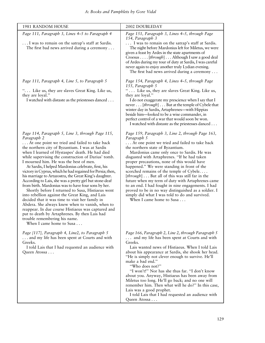| <b>1981 RANDOM HOUSE</b>                                                                                                                                                                                                                                                                                                                                                                                                                                                                                                                                                                                                                                                                                                                                                                                                                                                                                                                                                                                   | 2002 DOUBLEDAY                                                                                                                                                                                                                                                                                                                                                                                                                                                                                                                                                                                                                                                                                  |
|------------------------------------------------------------------------------------------------------------------------------------------------------------------------------------------------------------------------------------------------------------------------------------------------------------------------------------------------------------------------------------------------------------------------------------------------------------------------------------------------------------------------------------------------------------------------------------------------------------------------------------------------------------------------------------------------------------------------------------------------------------------------------------------------------------------------------------------------------------------------------------------------------------------------------------------------------------------------------------------------------------|-------------------------------------------------------------------------------------------------------------------------------------------------------------------------------------------------------------------------------------------------------------------------------------------------------------------------------------------------------------------------------------------------------------------------------------------------------------------------------------------------------------------------------------------------------------------------------------------------------------------------------------------------------------------------------------------------|
| Page 111, Paragraph 3, Lines 4-5 to Paragraph 4<br>I was to remain on the satrap's staff at Sardis.<br>The first bad news arrived during a ceremony $\dots$                                                                                                                                                                                                                                                                                                                                                                                                                                                                                                                                                                                                                                                                                                                                                                                                                                                | Page 151, Paragraph 3, Lines 4-5, through Page<br>154, Paragraph 3<br>I was to remain on the satrap's staff at Sardis.<br>The night before Mardonius left for Miletus, we were                                                                                                                                                                                                                                                                                                                                                                                                                                                                                                                  |
|                                                                                                                                                                                                                                                                                                                                                                                                                                                                                                                                                                                                                                                                                                                                                                                                                                                                                                                                                                                                            | given a feast by Ardes in the state apartments of<br>Croesus [through] Although I saw a good deal<br>of Ardes during my tour of duty at Sardis, I was careful<br>never again to enjoy another truly Lydian evening.<br>The first bad news arrived during a ceremony $\dots$                                                                                                                                                                                                                                                                                                                                                                                                                     |
| Page 111, Paragraph 4, Line 5, to Paragraph 5                                                                                                                                                                                                                                                                                                                                                                                                                                                                                                                                                                                                                                                                                                                                                                                                                                                                                                                                                              | Page 154, Paragraph 4, Lines 4-5, through Page<br>155, Paragraph 5                                                                                                                                                                                                                                                                                                                                                                                                                                                                                                                                                                                                                              |
| " Like us, they are slaves Great King. Like us,<br>they are loyal."<br>I watched with distaste as the priestesses danced                                                                                                                                                                                                                                                                                                                                                                                                                                                                                                                                                                                                                                                                                                                                                                                                                                                                                   | " Like us, they are slaves Great King. Like us,<br>they are loyal."<br>I do not exaggerate my prescience when I say that I<br>never [through] But at the temple of Cybele that<br>winter day in Sardis, Artaphrenes—with Hippias<br>beside him-looked to be a wise commander, in<br>perfect control of a war that would soon be won.<br>I watched with distaste as the priestesses danced                                                                                                                                                                                                                                                                                                       |
| Page 114, Paragraph 5, Line 3, through Page 115,<br>Paragraph 2<br>At one point we tried and failed to take back<br>the northern city of Byzantium. I was at Sardis<br>when I learned of Hystaspes' death. He had died<br>while supervising the construction of Darius' tomb.<br>I mourned him. He was the best of men.<br>At Sardis, I helped Mardonius celebrate, first, his<br>victory in Cyprus, which he had regained for Persia; then,<br>his marriage to Artazostra, the Great King's daughter.<br>According to Lais, she was a pretty girl but stone-deaf<br>from birth. Mardonius was to have four sons by her.<br>Shortly before I returned to Susa, Histiaeus went<br>into rebellion against the Great King, and Lais<br>decided that it was time to visit her family in<br>Abdera. She always knew when to vanish, when to<br>reappear. In due course Histiaeus was captured and<br>put to death by Artaphrenes. By then Lais had<br>trouble remembering his name.<br>When I came home to Susa | Page 159, Paragraph 3, Line 2, through Page 163,<br>Paragraph 5<br>At one point we tried and failed to take back<br>the northern state of Byzantium.<br>Mardonius came only once to Sardis. He was<br>disgusted with Artaphrenes. "If he had taken<br>proper precautions, none of this would have<br>happened." We were standing in front of the<br>scorched remains of the temple of Cybele<br>[through] But all of this was still far in the<br>future when my term of duty with Artaphrenes came<br>to an end. I had fought in nine engagements. I had<br>proved to be in no way distinguished as a soldier. I<br>simply did what I was told to do and survived.<br>When I came home to Susa |
| Page [117], Paragraph 4, Line2, to Paragraph 5<br>and my life has been spent at Courts and with<br>Greeks.<br>I told Lais that I had requested an audience with<br>Queen Atossa                                                                                                                                                                                                                                                                                                                                                                                                                                                                                                                                                                                                                                                                                                                                                                                                                            | Page 166, Paragraph 2, Line 2, through Paragraph 5<br>and my life has been spent at Courts and with<br>Greeks.<br>Lais wanted news of Histiaeus. When I told Lais<br>about his appearance at Sardis, she shook her head.<br>"He is simply not clever enough to survive. He'll<br>make a bad end."<br>"Who does not?"<br>"I won't!" Nor has she thus far. "I don't know<br>about you. Anyway, Histiaeus has been away from<br>Miletus too long. He'll go back; and no one will<br>remember him. Then what will he do?" In this case,<br>Lais was a good prophet.<br>I told Lais that I had requested an audience with<br>Queen Atossa                                                            |